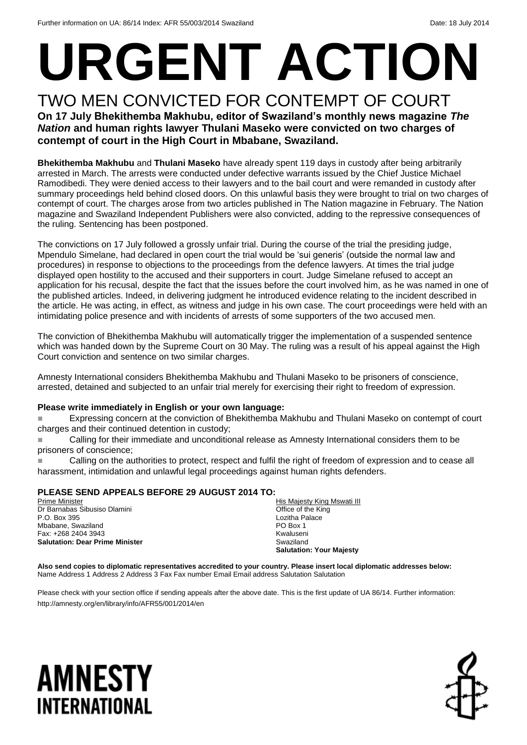# **URGENT ACTION**

#### TWO MEN CONVICTED FOR CONTEMPT OF COURT **On 17 July Bhekithemba Makhubu, editor of Swaziland's monthly news magazine** *The Nation* **and human rights lawyer Thulani Maseko were convicted on two charges of contempt of court in the High Court in Mbabane, Swaziland.**

**Bhekithemba Makhubu** and **Thulani Maseko** have already spent 119 days in custody after being arbitrarily arrested in March. The arrests were conducted under defective warrants issued by the Chief Justice Michael Ramodibedi. They were denied access to their lawyers and to the bail court and were remanded in custody after summary proceedings held behind closed doors. On this unlawful basis they were brought to trial on two charges of contempt of court. The charges arose from two articles published in The Nation magazine in February. The Nation magazine and Swaziland Independent Publishers were also convicted, adding to the repressive consequences of the ruling. Sentencing has been postponed.

The convictions on 17 July followed a grossly unfair trial. During the course of the trial the presiding judge, Mpendulo Simelane, had declared in open court the trial would be 'sui generis' (outside the normal law and procedures) in response to objections to the proceedings from the defence lawyers. At times the trial judge displayed open hostility to the accused and their supporters in court. Judge Simelane refused to accept an application for his recusal, despite the fact that the issues before the court involved him, as he was named in one of the published articles. Indeed, in delivering judgment he introduced evidence relating to the incident described in the article. He was acting, in effect, as witness and judge in his own case. The court proceedings were held with an intimidating police presence and with incidents of arrests of some supporters of the two accused men.

The conviction of Bhekithemba Makhubu will automatically trigger the implementation of a suspended sentence which was handed down by the Supreme Court on 30 May. The ruling was a result of his appeal against the High Court conviction and sentence on two similar charges.

Amnesty International considers Bhekithemba Makhubu and Thulani Maseko to be prisoners of conscience, arrested, detained and subjected to an unfair trial merely for exercising their right to freedom of expression.

#### **Please write immediately in English or your own language:**

 Expressing concern at the conviction of Bhekithemba Makhubu and Thulani Maseko on contempt of court charges and their continued detention in custody;

 Calling for their immediate and unconditional release as Amnesty International considers them to be prisoners of conscience;

 Calling on the authorities to protect, respect and fulfil the right of freedom of expression and to cease all harassment, intimidation and unlawful legal proceedings against human rights defenders.

#### **PLEASE SEND APPEALS BEFORE 29 AUGUST 2014 TO:**

Prime Minister Dr Barnabas Sibusiso Dlamini P.O. Box 395 Mbabane, Swaziland Fax: +268 2404 3943 **Salutation: Dear Prime Minister**

His Majesty King Mswati III Office of the King Lozitha Palace PO Box 1 Kwaluseni Swaziland **Salutation: Your Majesty**

**Also send copies to diplomatic representatives accredited to your country. Please insert local diplomatic addresses below:** Name Address 1 Address 2 Address 3 Fax Fax number Email Email address Salutation Salutation

Please check with your section office if sending appeals after the above date. This is the first update of UA 86/14. Further information: http://amnesty.org/en/library/info/AFR55/001/2014/en